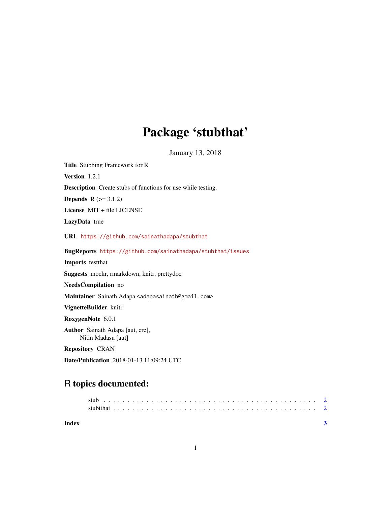## Package 'stubthat'

January 13, 2018

Title Stubbing Framework for R

Version 1.2.1

Description Create stubs of functions for use while testing.

**Depends**  $R$  ( $>= 3.1.2$ )

License MIT + file LICENSE

LazyData true

URL <https://github.com/sainathadapa/stubthat>

BugReports <https://github.com/sainathadapa/stubthat/issues>

Imports testthat

Suggests mockr, rmarkdown, knitr, prettydoc

NeedsCompilation no

Maintainer Sainath Adapa <adapasainath@gmail.com>

VignetteBuilder knitr

RoxygenNote 6.0.1

Author Sainath Adapa [aut, cre], Nitin Madasu [aut]

Repository CRAN

Date/Publication 2018-01-13 11:09:24 UTC

### R topics documented: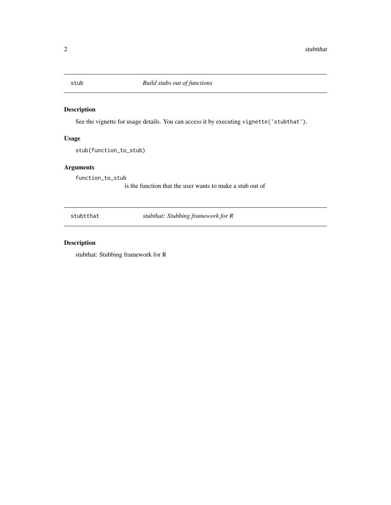<span id="page-1-0"></span>

#### Description

See the vignette for usage details. You can access it by executing vignette('stubthat').

#### Usage

stub(function\_to\_stub)

#### Arguments

function\_to\_stub

is the function that the user wants to make a stub out of

stubtthat *stubthat: Stubbing framework for R*

#### Description

stubthat: Stubbing framework for R